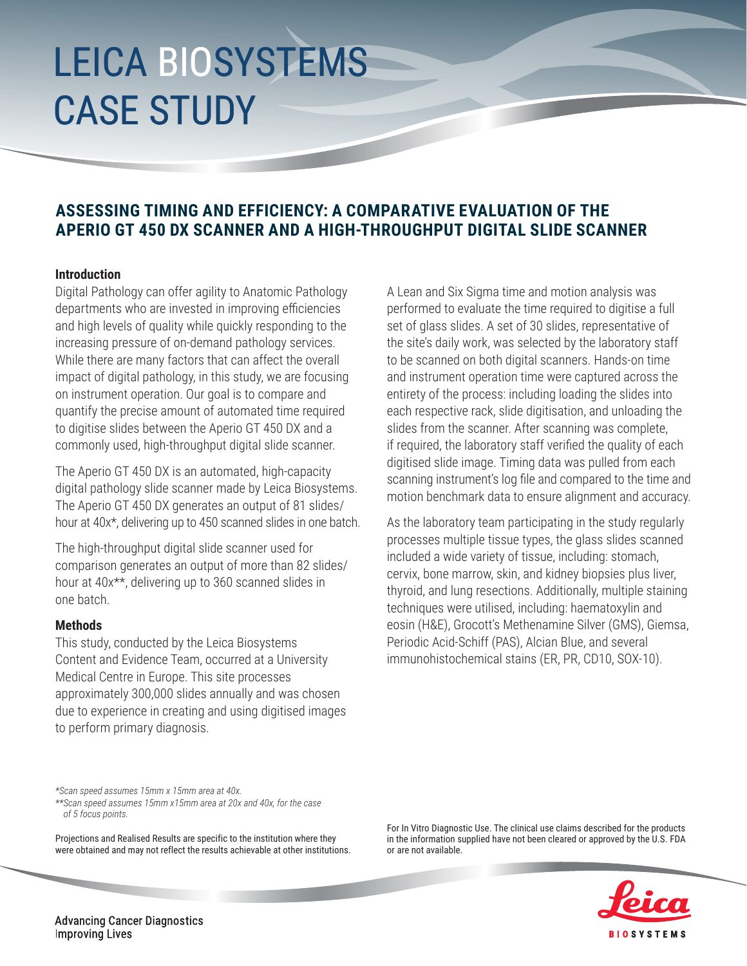# LEICA BIOSYSTEMS CASE STUDY

### **ASSESSING TIMING AND EFFICIENCY: A COMPARATIVE EVALUATION OF THE APERIO GT 450 DX SCANNER AND A HIGH-THROUGHPUT DIGITAL SLIDE SCANNER**

### **Introduction**

Digital Pathology can offer agility to Anatomic Pathology departments who are invested in improving efficiencies and high levels of quality while quickly responding to the increasing pressure of on-demand pathology services. While there are many factors that can affect the overall impact of digital pathology, in this study, we are focusing on instrument operation. Our goal is to compare and quantify the precise amount of automated time required to digitise slides between the Aperio GT 450 DX and a commonly used, high-throughput digital slide scanner.

The Aperio GT 450 DX is an automated, high-capacity digital pathology slide scanner made by Leica Biosystems. The Aperio GT 450 DX generates an output of 81 slides/ hour at 40x\*, delivering up to 450 scanned slides in one batch.

The high-throughput digital slide scanner used for comparison generates an output of more than 82 slides/ hour at 40x\*\*, delivering up to 360 scanned slides in one batch.

### **Methods**

This study, conducted by the Leica Biosystems Content and Evidence Team, occurred at a University Medical Centre in Europe. This site processes approximately 300,000 slides annually and was chosen due to experience in creating and using digitised images to perform primary diagnosis.

*\*Scan speed assumes 15mm x 15mm area at 40x. \*\*Scan speed assumes 15mm x15mm area at 20x and 40x, for the case of 5 focus points.*

Projections and Realised Results are specific to the institution where they were obtained and may not reflect the results achievable at other institutions. A Lean and Six Sigma time and motion analysis was performed to evaluate the time required to digitise a full set of glass slides. A set of 30 slides, representative of the site's daily work, was selected by the laboratory staff to be scanned on both digital scanners. Hands-on time and instrument operation time were captured across the entirety of the process: including loading the slides into each respective rack, slide digitisation, and unloading the slides from the scanner. After scanning was complete, if required, the laboratory staff verified the quality of each digitised slide image. Timing data was pulled from each scanning instrument's log file and compared to the time and motion benchmark data to ensure alignment and accuracy.

As the laboratory team participating in the study regularly processes multiple tissue types, the glass slides scanned included a wide variety of tissue, including: stomach, cervix, bone marrow, skin, and kidney biopsies plus liver, thyroid, and lung resections. Additionally, multiple staining techniques were utilised, including: haematoxylin and eosin (H&E), Grocott's Methenamine Silver (GMS), Giemsa, Periodic Acid-Schiff (PAS), Alcian Blue, and several immunohistochemical stains (ER, PR, CD10, SOX-10).

For In Vitro Diagnostic Use. The clinical use claims described for the products in the information supplied have not been cleared or approved by the U.S. FDA or are not available.



**Advancing Cancer Diagnostics Improving Lives**